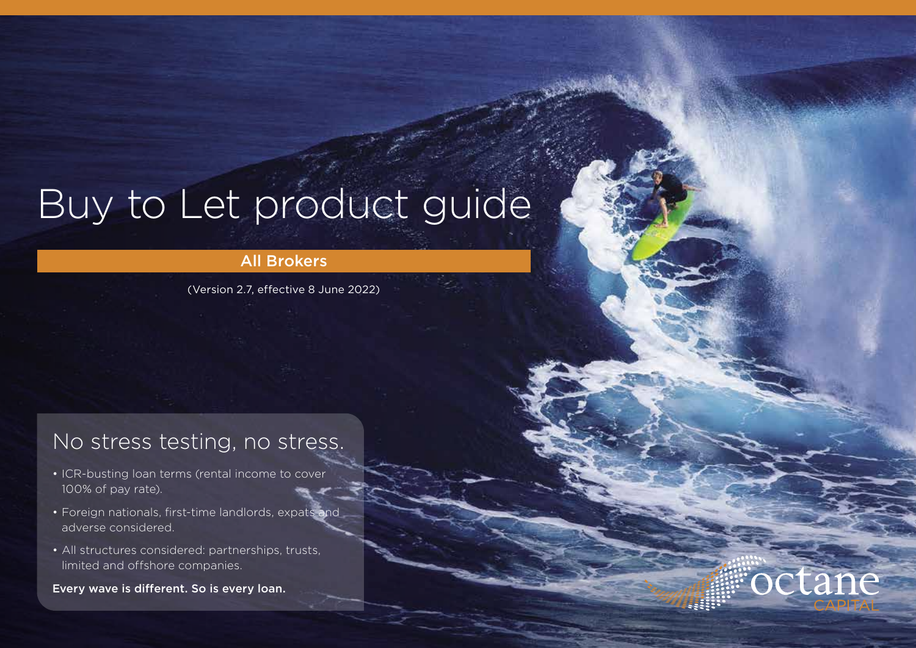# Buy to Let product guide

#### All Brokers

(Version 2.7, effective 8 June 2022)

### No stress testing, no stress.

- ICR-busting loan terms (rental income to cover 100% of pay rate).
- Foreign nationals, first-time landlords, expats and adverse considered.
- All structures considered: partnerships, trusts, limited and offshore companies.

Every wave is different. So is every loan.

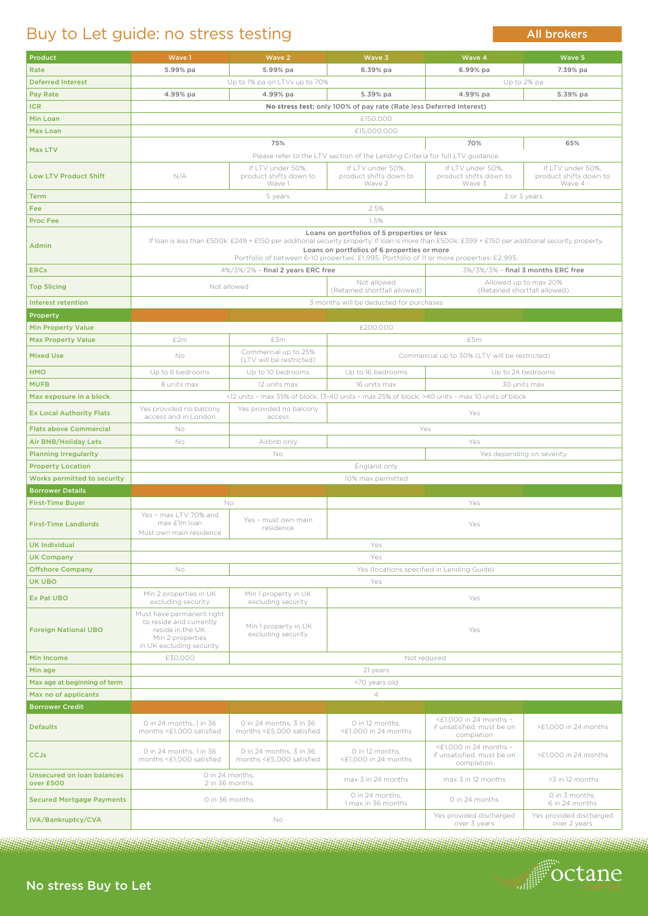### No stress Buy to Let



### Buy to Let guide: no stress testing

| <b>Product</b>                          | Wave 1                                                                                                                                                                                                                                                                                          | Wave 2                                                       | Wave 3                                                                                          | Wave 4                                                                   | Wave 5                                  |  |
|-----------------------------------------|-------------------------------------------------------------------------------------------------------------------------------------------------------------------------------------------------------------------------------------------------------------------------------------------------|--------------------------------------------------------------|-------------------------------------------------------------------------------------------------|--------------------------------------------------------------------------|-----------------------------------------|--|
| Rate                                    | 5.99% pa                                                                                                                                                                                                                                                                                        | 5.99% pa                                                     | 6.39% pa                                                                                        | 6.99% pa                                                                 | 7.39% pa                                |  |
| <b>Deferred Interest</b>                |                                                                                                                                                                                                                                                                                                 | Up to 1% pa on LTVs up to 70%                                |                                                                                                 |                                                                          | Up to 2% pa                             |  |
|                                         |                                                                                                                                                                                                                                                                                                 |                                                              |                                                                                                 |                                                                          |                                         |  |
| <b>Pay Rate</b>                         | 4.99% pa                                                                                                                                                                                                                                                                                        | 4.99% pa                                                     | 5.39% pa                                                                                        | 4.99% pa                                                                 | 5.39% pa                                |  |
| <b>ICR</b>                              | No stress test: only 100% of pay rate (Rate less Deferred Interest)                                                                                                                                                                                                                             |                                                              |                                                                                                 |                                                                          |                                         |  |
| <b>Min Loan</b>                         | £150,000                                                                                                                                                                                                                                                                                        |                                                              |                                                                                                 |                                                                          |                                         |  |
| Max Loan                                | £15,000,000                                                                                                                                                                                                                                                                                     |                                                              |                                                                                                 |                                                                          |                                         |  |
|                                         | 75%<br>70%<br>65%                                                                                                                                                                                                                                                                               |                                                              |                                                                                                 |                                                                          |                                         |  |
| <b>Max LTV</b>                          |                                                                                                                                                                                                                                                                                                 |                                                              |                                                                                                 |                                                                          |                                         |  |
|                                         | Please refer to the LTV section of the Lending Criteria for full LTV guidance.                                                                                                                                                                                                                  |                                                              |                                                                                                 |                                                                          |                                         |  |
|                                         |                                                                                                                                                                                                                                                                                                 | If LTV under 50%,                                            | If LTV under 50%,                                                                               | If LTV under 50%,                                                        | If LTV under 50%.                       |  |
| <b>Low LTV Product Shift</b>            | N/A                                                                                                                                                                                                                                                                                             | product shifts down to<br>Wave 1                             | product shifts down to<br>Wave 2                                                                | product shifts down to<br>Wave 3                                         | product shifts down to<br>Wave 4        |  |
|                                         |                                                                                                                                                                                                                                                                                                 |                                                              |                                                                                                 |                                                                          |                                         |  |
| <b>Term</b>                             | 2 or 3 years<br>5 years                                                                                                                                                                                                                                                                         |                                                              |                                                                                                 |                                                                          |                                         |  |
| Fee:                                    | 2.5%                                                                                                                                                                                                                                                                                            |                                                              |                                                                                                 |                                                                          |                                         |  |
| <b>Proc Fee</b>                         | 1.5%                                                                                                                                                                                                                                                                                            |                                                              |                                                                                                 |                                                                          |                                         |  |
|                                         | Loans on portfolios of 5 properties or less                                                                                                                                                                                                                                                     |                                                              |                                                                                                 |                                                                          |                                         |  |
| Admin                                   | If Ioan is less than £500k: £249 + £150 per additional security property. If Ioan is more than £500k: £399 + £150 per additional security property.<br>Loans on portfolios of 6 properties or more<br>Portfolio of between 6-10 properties: £1,995. Portfolio of 11 or more properties: £2,995. |                                                              |                                                                                                 |                                                                          |                                         |  |
|                                         |                                                                                                                                                                                                                                                                                                 |                                                              |                                                                                                 | 3%/3%/3% - final 3 months ERC free                                       |                                         |  |
| <b>ERCs</b>                             |                                                                                                                                                                                                                                                                                                 | 4%/3%/2% - final 2 years ERC free                            |                                                                                                 |                                                                          |                                         |  |
| <b>Top Slicing</b>                      |                                                                                                                                                                                                                                                                                                 | Not allowed                                                  |                                                                                                 | Not allowed<br>Allowed up to max 20%                                     |                                         |  |
|                                         |                                                                                                                                                                                                                                                                                                 | (Retained shortfall allowed)<br>(Retained shortfall allowed) |                                                                                                 |                                                                          |                                         |  |
| Interest retention                      | 3 months will be deducted for purchases                                                                                                                                                                                                                                                         |                                                              |                                                                                                 |                                                                          |                                         |  |
| Property                                |                                                                                                                                                                                                                                                                                                 |                                                              |                                                                                                 |                                                                          |                                         |  |
| <b>Min Property Value</b>               |                                                                                                                                                                                                                                                                                                 |                                                              | £200,000                                                                                        |                                                                          |                                         |  |
| <b>Max Property Value</b>               | £2m                                                                                                                                                                                                                                                                                             | £3m                                                          |                                                                                                 |                                                                          |                                         |  |
|                                         |                                                                                                                                                                                                                                                                                                 |                                                              |                                                                                                 | £5m                                                                      |                                         |  |
| <b>Mixed Use</b>                        | No                                                                                                                                                                                                                                                                                              | Commercial up to 25%<br>(LTV will be restricted)             |                                                                                                 | Commercial up to 30% (LTV will be restricted)                            |                                         |  |
| <b>HMO</b>                              | Up to 6 bedrooms                                                                                                                                                                                                                                                                                | Up to 10 bedrooms                                            | Up to 16 bedrooms                                                                               |                                                                          | Up to 24 bedrooms                       |  |
| <b>MUFB</b>                             | 8 units max                                                                                                                                                                                                                                                                                     | 12 units max                                                 | 16 units max                                                                                    | 30 units max                                                             |                                         |  |
| Max exposure in a block                 |                                                                                                                                                                                                                                                                                                 |                                                              | <12 units - max 35% of block; 13-40 units - max 25% of block; >40 units - max 10 units of block |                                                                          |                                         |  |
|                                         | Yes provided no balcony<br>Yes provided no balcony                                                                                                                                                                                                                                              |                                                              |                                                                                                 |                                                                          |                                         |  |
| <b>Ex Local Authority Flats</b>         | access and in London                                                                                                                                                                                                                                                                            | access                                                       | Yes                                                                                             |                                                                          |                                         |  |
| <b>Flats above Commercial</b>           | No                                                                                                                                                                                                                                                                                              |                                                              | Yes                                                                                             |                                                                          |                                         |  |
| <b>Air BNB/Holiday Lets</b>             | <b>No</b>                                                                                                                                                                                                                                                                                       | Airbnb only                                                  |                                                                                                 | Yes                                                                      |                                         |  |
| <b>Planning Irregularity</b>            | No<br>Yes depending on severity                                                                                                                                                                                                                                                                 |                                                              |                                                                                                 |                                                                          |                                         |  |
| <b>Property Location</b>                | England only                                                                                                                                                                                                                                                                                    |                                                              |                                                                                                 |                                                                          |                                         |  |
| <b>Works permitted to security</b>      | 10% max permitted                                                                                                                                                                                                                                                                               |                                                              |                                                                                                 |                                                                          |                                         |  |
|                                         |                                                                                                                                                                                                                                                                                                 |                                                              |                                                                                                 |                                                                          |                                         |  |
| <b>Borrower Details</b>                 |                                                                                                                                                                                                                                                                                                 |                                                              |                                                                                                 |                                                                          |                                         |  |
| <b>First-Time Buyer</b>                 |                                                                                                                                                                                                                                                                                                 | No.                                                          |                                                                                                 | Yes                                                                      |                                         |  |
| <b>First-Time Landlords</b>             | Yes - max LTV 70% and<br>max £1m loan<br>Must own main residence                                                                                                                                                                                                                                | Yes - must own main<br>residence                             | Yes                                                                                             |                                                                          |                                         |  |
| <b>UK Individual</b>                    | Yes                                                                                                                                                                                                                                                                                             |                                                              |                                                                                                 |                                                                          |                                         |  |
|                                         |                                                                                                                                                                                                                                                                                                 | Yes                                                          |                                                                                                 |                                                                          |                                         |  |
| <b>UK Company</b>                       |                                                                                                                                                                                                                                                                                                 |                                                              |                                                                                                 |                                                                          |                                         |  |
| <b>Offshore Company</b>                 | <b>No</b>                                                                                                                                                                                                                                                                                       |                                                              | Yes (locations specified in Lending Guide)                                                      |                                                                          |                                         |  |
| <b>UK UBO</b>                           |                                                                                                                                                                                                                                                                                                 |                                                              | Yes                                                                                             |                                                                          |                                         |  |
| <b>Ex Pat UBO</b>                       | Min 2 properties in UK<br>excluding security                                                                                                                                                                                                                                                    | Min 1 property in UK<br>excluding security                   | Yes                                                                                             |                                                                          |                                         |  |
| <b>Foreign National UBO</b>             | Must have permanent right<br>to reside and currently<br>reside in the UK.<br>Min 2 properties<br>in UK excluding security.                                                                                                                                                                      | Min 1 property in UK<br>excluding security                   | Yes                                                                                             |                                                                          |                                         |  |
| <b>Min Income</b>                       | £30,000                                                                                                                                                                                                                                                                                         |                                                              |                                                                                                 | Not required                                                             |                                         |  |
|                                         |                                                                                                                                                                                                                                                                                                 |                                                              |                                                                                                 |                                                                          |                                         |  |
| Min age                                 | 21 years                                                                                                                                                                                                                                                                                        |                                                              |                                                                                                 |                                                                          |                                         |  |
| Max age at beginning of term            | <70 years old                                                                                                                                                                                                                                                                                   |                                                              |                                                                                                 |                                                                          |                                         |  |
| Max no of applicants                    | $\overline{4}$                                                                                                                                                                                                                                                                                  |                                                              |                                                                                                 |                                                                          |                                         |  |
| <b>Borrower Credit</b>                  |                                                                                                                                                                                                                                                                                                 |                                                              |                                                                                                 |                                                                          |                                         |  |
| <b>Defaults</b>                         | 0 in 24 months, 1 in 36<br>months <£1,000 satisfied                                                                                                                                                                                                                                             | 0 in 24 months, 3 in 36<br>months <£5,000 satisfied          | O in 12 months,<br>$\leq$ £1,000 in 24 months                                                   | $\leq$ £1.000 in 24 months -<br>if unsatisfied, must be on<br>completion | >£1,000 in 24 months                    |  |
| <b>CCJs</b>                             | 0 in 24 months, 1 in 36<br>months <£1,000 satisfied                                                                                                                                                                                                                                             | 0 in 24 months, 3 in 36<br>months <£5,000 satisfied          | O in 12 months,<br><£1,000 in 24 months                                                         | $\leq$ 1,000 in 24 months –<br>if unsatisfied, must be on<br>completion  | >£1,000 in 24 months                    |  |
| Unsecured on loan balances<br>over £500 | O in 24 months.<br>2 in 36 months                                                                                                                                                                                                                                                               |                                                              | max 3 in 24 months                                                                              | max 3 in 12 months                                                       | >3 in 12 months                         |  |
| <b>Secured Mortgage Payments</b>        | O in 36 months                                                                                                                                                                                                                                                                                  |                                                              | O in 24 months,<br>1 max in 36 months                                                           | O in 24 months                                                           | O in 3 months,<br>6 in 24 months        |  |
| IVA/Bankruptcy/CVA                      |                                                                                                                                                                                                                                                                                                 | No                                                           |                                                                                                 | Yes provided discharged<br>over 3 years                                  | Yes provided discharged<br>over 2 years |  |

All brokers